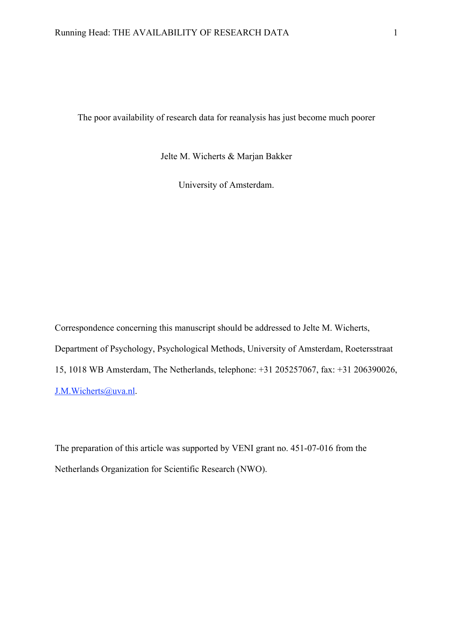The poor availability of research data for reanalysis has just become much poorer

Jelte M. Wicherts & Marjan Bakker

University of Amsterdam.

Correspondence concerning this manuscript should be addressed to Jelte M. Wicherts, Department of Psychology, Psychological Methods, University of Amsterdam, Roetersstraat 15, 1018 WB Amsterdam, The Netherlands, telephone: +31 205257067, fax: +31 206390026, J.M.Wicherts@uva.nl.

The preparation of this article was supported by VENI grant no. 451-07-016 from the Netherlands Organization for Scientific Research (NWO).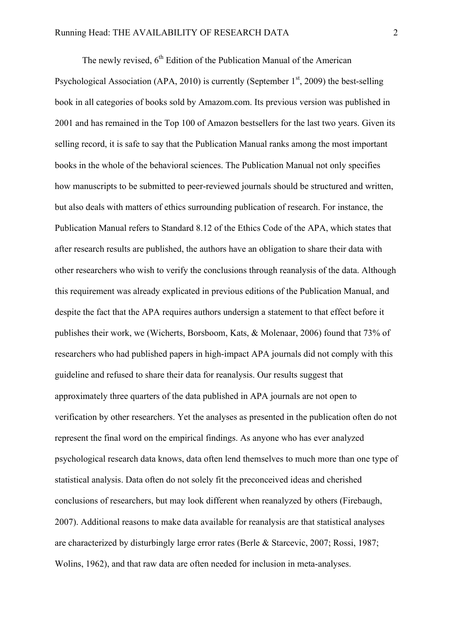The newly revised,  $6<sup>th</sup>$  Edition of the Publication Manual of the American Psychological Association (APA, 2010) is currently (September  $1<sup>st</sup>$ , 2009) the best-selling book in all categories of books sold by Amazom.com. Its previous version was published in 2001 and has remained in the Top 100 of Amazon bestsellers for the last two years. Given its selling record, it is safe to say that the Publication Manual ranks among the most important books in the whole of the behavioral sciences. The Publication Manual not only specifies how manuscripts to be submitted to peer-reviewed journals should be structured and written, but also deals with matters of ethics surrounding publication of research. For instance, the Publication Manual refers to Standard 8.12 of the Ethics Code of the APA, which states that after research results are published, the authors have an obligation to share their data with other researchers who wish to verify the conclusions through reanalysis of the data. Although this requirement was already explicated in previous editions of the Publication Manual, and despite the fact that the APA requires authors undersign a statement to that effect before it publishes their work, we (Wicherts, Borsboom, Kats, & Molenaar, 2006) found that 73% of researchers who had published papers in high-impact APA journals did not comply with this guideline and refused to share their data for reanalysis. Our results suggest that approximately three quarters of the data published in APA journals are not open to verification by other researchers. Yet the analyses as presented in the publication often do not represent the final word on the empirical findings. As anyone who has ever analyzed psychological research data knows, data often lend themselves to much more than one type of statistical analysis. Data often do not solely fit the preconceived ideas and cherished conclusions of researchers, but may look different when reanalyzed by others (Firebaugh, 2007). Additional reasons to make data available for reanalysis are that statistical analyses are characterized by disturbingly large error rates (Berle & Starcevic, 2007; Rossi, 1987; Wolins, 1962), and that raw data are often needed for inclusion in meta-analyses.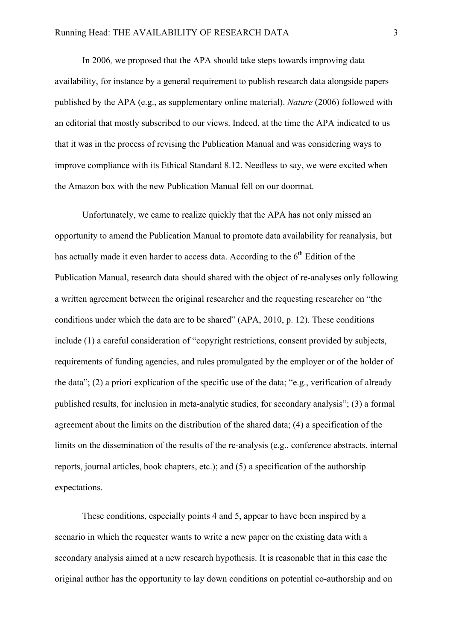In 2006*,* we proposed that the APA should take steps towards improving data availability, for instance by a general requirement to publish research data alongside papers published by the APA (e.g., as supplementary online material). *Nature* (2006) followed with an editorial that mostly subscribed to our views. Indeed, at the time the APA indicated to us that it was in the process of revising the Publication Manual and was considering ways to improve compliance with its Ethical Standard 8.12. Needless to say, we were excited when the Amazon box with the new Publication Manual fell on our doormat.

Unfortunately, we came to realize quickly that the APA has not only missed an opportunity to amend the Publication Manual to promote data availability for reanalysis, but has actually made it even harder to access data. According to the 6<sup>th</sup> Edition of the Publication Manual, research data should shared with the object of re-analyses only following a written agreement between the original researcher and the requesting researcher on "the conditions under which the data are to be shared" (APA, 2010, p. 12). These conditions include (1) a careful consideration of "copyright restrictions, consent provided by subjects, requirements of funding agencies, and rules promulgated by the employer or of the holder of the data"; (2) a priori explication of the specific use of the data; "e.g., verification of already published results, for inclusion in meta-analytic studies, for secondary analysis"; (3) a formal agreement about the limits on the distribution of the shared data; (4) a specification of the limits on the dissemination of the results of the re-analysis (e.g., conference abstracts, internal reports, journal articles, book chapters, etc.); and (5) a specification of the authorship expectations.

These conditions, especially points 4 and 5, appear to have been inspired by a scenario in which the requester wants to write a new paper on the existing data with a secondary analysis aimed at a new research hypothesis. It is reasonable that in this case the original author has the opportunity to lay down conditions on potential co-authorship and on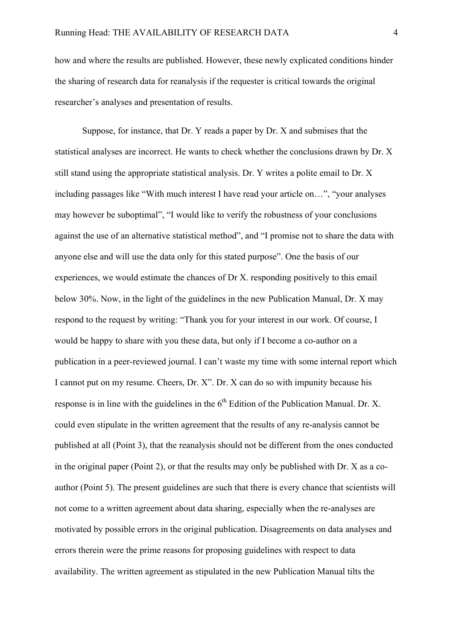how and where the results are published. However, these newly explicated conditions hinder the sharing of research data for reanalysis if the requester is critical towards the original researcher's analyses and presentation of results.

Suppose, for instance, that Dr. Y reads a paper by Dr. X and submises that the statistical analyses are incorrect. He wants to check whether the conclusions drawn by Dr. X still stand using the appropriate statistical analysis. Dr. Y writes a polite email to Dr. X including passages like "With much interest I have read your article on…", "your analyses may however be suboptimal", "I would like to verify the robustness of your conclusions against the use of an alternative statistical method", and "I promise not to share the data with anyone else and will use the data only for this stated purpose". One the basis of our experiences, we would estimate the chances of Dr X. responding positively to this email below 30%. Now, in the light of the guidelines in the new Publication Manual, Dr. X may respond to the request by writing: "Thank you for your interest in our work. Of course, I would be happy to share with you these data, but only if I become a co-author on a publication in a peer-reviewed journal. I can't waste my time with some internal report which I cannot put on my resume. Cheers, Dr. X". Dr. X can do so with impunity because his response is in line with the guidelines in the  $6<sup>th</sup>$  Edition of the Publication Manual. Dr. X. could even stipulate in the written agreement that the results of any re-analysis cannot be published at all (Point 3), that the reanalysis should not be different from the ones conducted in the original paper (Point 2), or that the results may only be published with Dr. X as a coauthor (Point 5). The present guidelines are such that there is every chance that scientists will not come to a written agreement about data sharing, especially when the re-analyses are motivated by possible errors in the original publication. Disagreements on data analyses and errors therein were the prime reasons for proposing guidelines with respect to data availability. The written agreement as stipulated in the new Publication Manual tilts the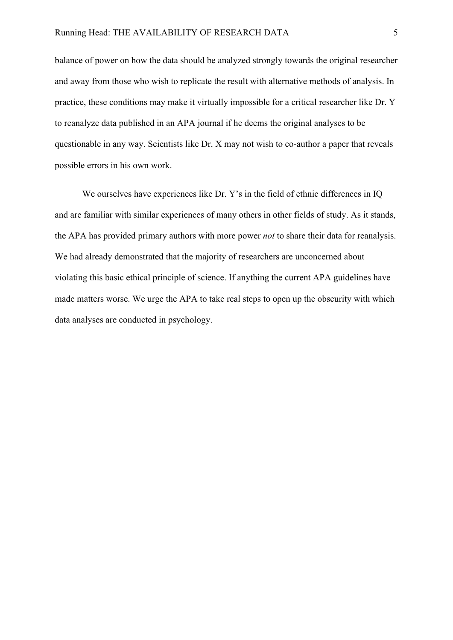balance of power on how the data should be analyzed strongly towards the original researcher and away from those who wish to replicate the result with alternative methods of analysis. In practice, these conditions may make it virtually impossible for a critical researcher like Dr. Y to reanalyze data published in an APA journal if he deems the original analyses to be questionable in any way. Scientists like Dr. X may not wish to co-author a paper that reveals possible errors in his own work.

We ourselves have experiences like Dr. Y's in the field of ethnic differences in IQ and are familiar with similar experiences of many others in other fields of study. As it stands, the APA has provided primary authors with more power *not* to share their data for reanalysis. We had already demonstrated that the majority of researchers are unconcerned about violating this basic ethical principle of science. If anything the current APA guidelines have made matters worse. We urge the APA to take real steps to open up the obscurity with which data analyses are conducted in psychology.